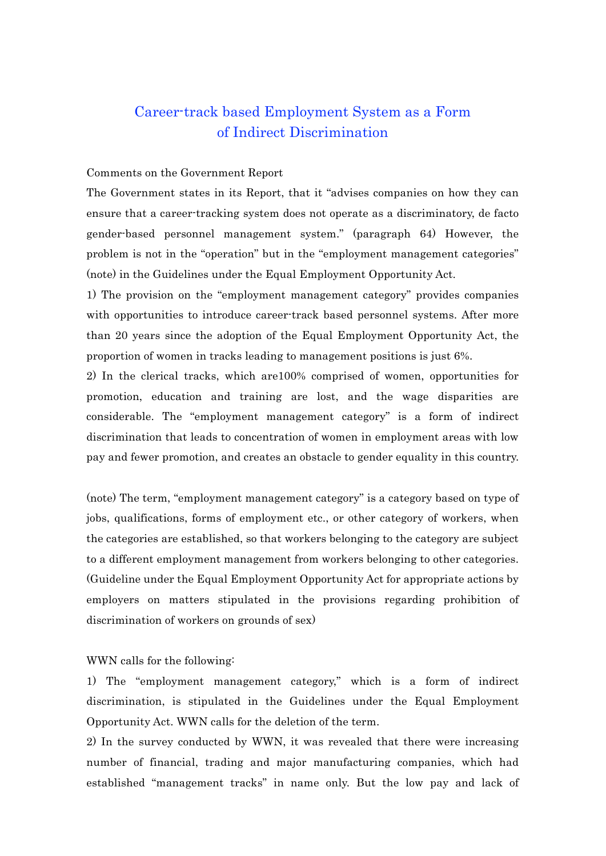# Career-track based Employment System as a Form of Indirect Discrimination

## Comments on the Government Report

The Government states in its Report, that it "advises companies on how they can ensure that a career-tracking system does not operate as a discriminatory, de facto gender-based personnel management system." (paragraph 64) However, the problem is not in the "operation" but in the "employment management categories" (note) in the Guidelines under the Equal Employment Opportunity Act.

1) The provision on the "employment management category" provides companies with opportunities to introduce career-track based personnel systems. After more than 20 years since the adoption of the Equal Employment Opportunity Act, the proportion of women in tracks leading to management positions is just 6%.

2) In the clerical tracks, which are100% comprised of women, opportunities for promotion, education and training are lost, and the wage disparities are considerable. The "employment management category" is a form of indirect discrimination that leads to concentration of women in employment areas with low pay and fewer promotion, and creates an obstacle to gender equality in this country.

(note) The term, "employment management category" is a category based on type of jobs, qualifications, forms of employment etc., or other category of workers, when the categories are established, so that workers belonging to the category are subject to a different employment management from workers belonging to other categories. (Guideline under the Equal Employment Opportunity Act for appropriate actions by employers on matters stipulated in the provisions regarding prohibition of discrimination of workers on grounds of sex)

#### WWN calls for the following:

1) The "employment management category," which is a form of indirect discrimination, is stipulated in the Guidelines under the Equal Employment Opportunity Act. WWN calls for the deletion of the term.

2) In the survey conducted by WWN, it was revealed that there were increasing number of financial, trading and major manufacturing companies, which had established "management tracks" in name only. But the low pay and lack of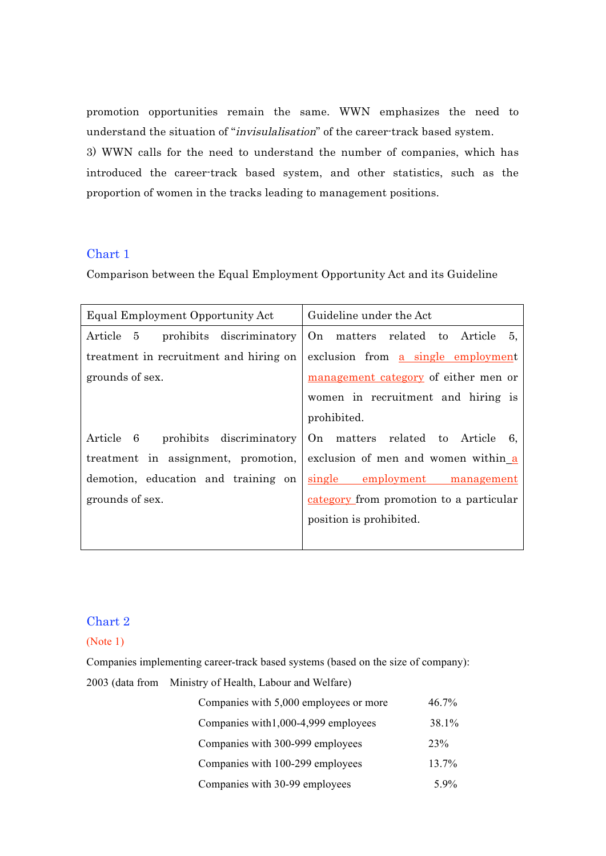promotion opportunities remain the same. WWN emphasizes the need to understand the situation of "invisulalisation" of the career-track based system. 3) WWN calls for the need to understand the number of companies, which has introduced the career-track based system, and other statistics, such as the proportion of women in the tracks leading to management positions.

## Chart 1

Comparison between the Equal Employment Opportunity Act and its Guideline

| Equal Employment Opportunity Act       | Guideline under the Act                   |  |
|----------------------------------------|-------------------------------------------|--|
| Article 5<br>prohibits discriminatory  | On matters related to Article<br>5,       |  |
| treatment in recruitment and hiring on | exclusion from <u>a single employment</u> |  |
| grounds of sex.                        | management category of either men or      |  |
|                                        | women in recruitment and hiring is        |  |
|                                        | prohibited.                               |  |
| Article 6<br>prohibits discriminatory  | On matters related to Article<br>- 6.     |  |
| treatment in assignment, promotion,    | exclusion of men and women within a       |  |
| demotion, education and training on    | single employment<br>management           |  |
| grounds of sex.                        | category from promotion to a particular   |  |
|                                        | position is prohibited.                   |  |
|                                        |                                           |  |

# Chart 2

(Note 1)

Companies implementing career-track based systems (based on the size of company):

2003 (data from Ministry of Health, Labour and Welfare)

| Companies with 5,000 employees or more | 46.7% |
|----------------------------------------|-------|
| Companies with 1,000-4,999 employees   | 38.1% |
| Companies with 300-999 employees       | 23%   |
| Companies with 100-299 employees       | 13.7% |
| Companies with 30-99 employees         | 5.9%  |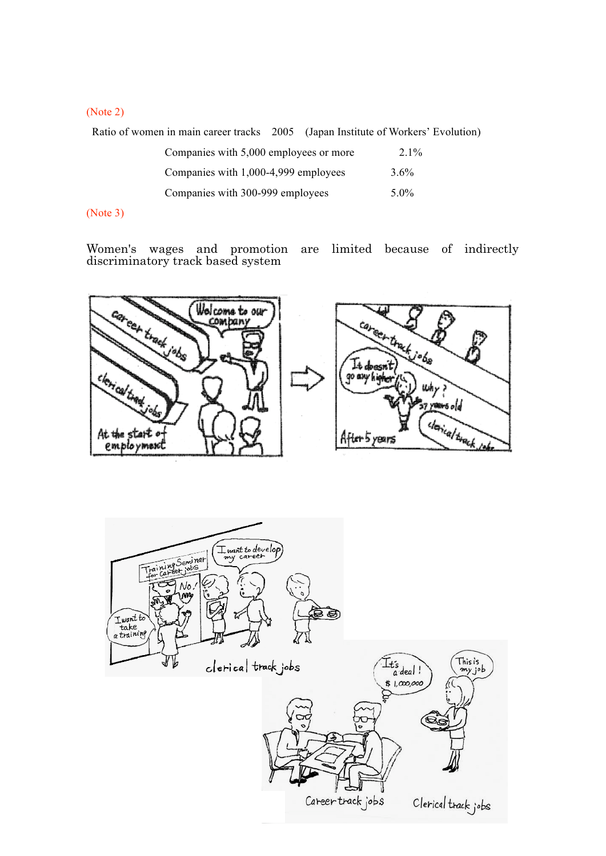## (Note 2)

Ratio of women in main career tracks 2005 (Japan Institute of Workers' Evolution)

| Companies with 5,000 employees or more | $2.1\%$ |
|----------------------------------------|---------|
| Companies with 1,000-4,999 employees   | $3.6\%$ |
| Companies with 300-999 employees       | $5.0\%$ |

## (Note 3)

Women's wages and promotion are limited because of indirectly discriminatory track based system